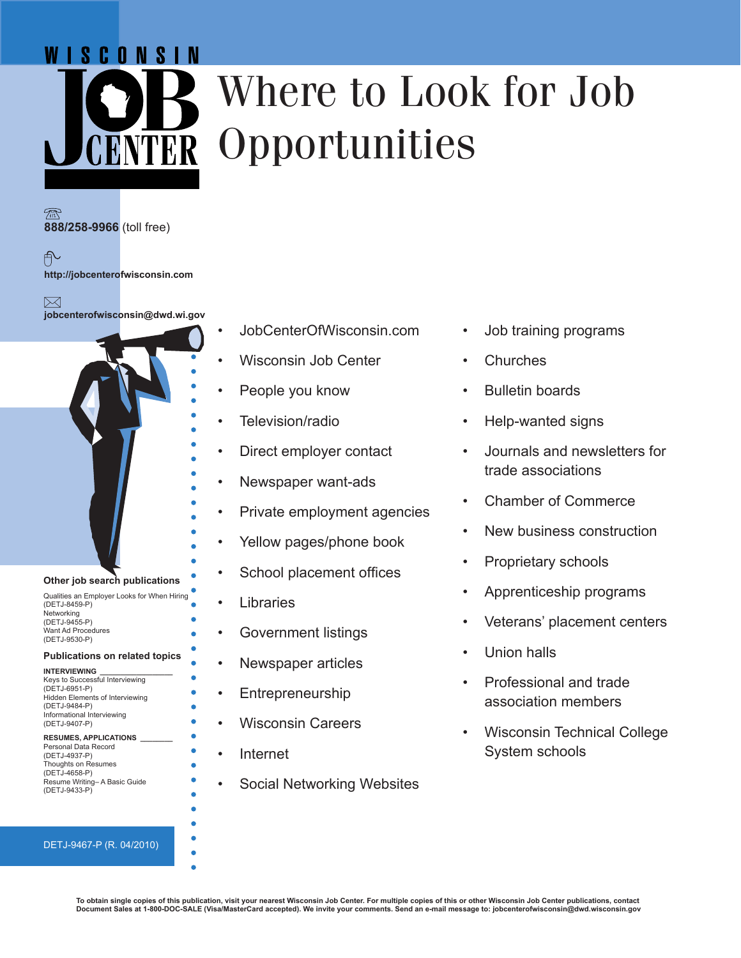# WISCONSIN

# Where to Look for Job **ENTER Opportunities**

**888/258-9966** (toll free)

户 **http://jobcenterofwisconsin.com**

⊠ **jobcenterofwisconsin@dwd.wi.gov**



#### DETJ-9467-P (R. 04/2010)

- JobCenterOfWisconsin.com
- Wisconsin Job Center
- People you know
- Television/radio
- Direct employer contact
- Newspaper want-ads
- Private employment agencies
- Yellow pages/phone book
- School placement offices
- Libraries
- Government listings
- Newspaper articles
- **Entrepreneurship**
- Wisconsin Careers
- Internet
- Social Networking Websites
- Job training programs
- **Churches**
- Bulletin boards
- Help-wanted signs
- Journals and newsletters for trade associations
- Chamber of Commerce
- New business construction
- Proprietary schools
- Apprenticeship programs
- Veterans' placement centers
- Union halls
- Professional and trade association members
- Wisconsin Technical College System schools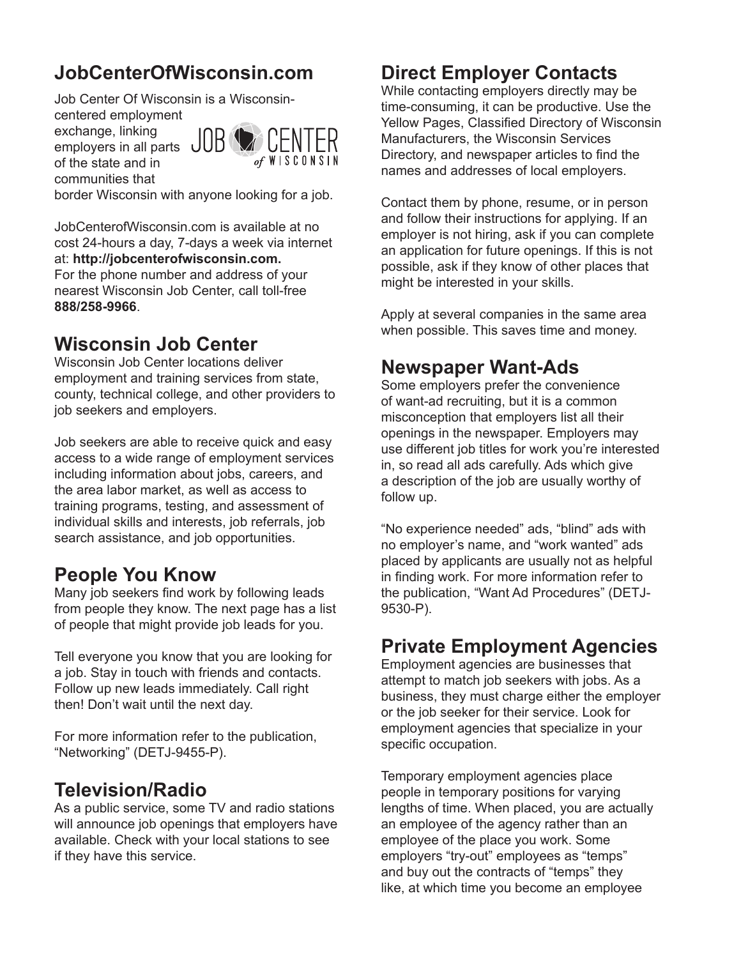# **JobCenterOfWisconsin.com**

Job Center Of Wisconsin is a Wisconsin-

centered employment exchange, linking employers in all parts of the state and in communities that



border Wisconsin with anyone looking for a job.

JobCenterofWisconsin.com is available at no cost 24-hours a day, 7-days a week via internet at: **http://jobcenterofwisconsin.com.** For the phone number and address of your nearest Wisconsin Job Center, call toll-free **888/258-9966**.

## **Wisconsin Job Center**

Wisconsin Job Center locations deliver employment and training services from state, county, technical college, and other providers to job seekers and employers.

Job seekers are able to receive quick and easy access to a wide range of employment services including information about jobs, careers, and the area labor market, as well as access to training programs, testing, and assessment of individual skills and interests, job referrals, job search assistance, and job opportunities.

# **People You Know**

Many job seekers find work by following leads from people they know. The next page has a list of people that might provide job leads for you.

Tell everyone you know that you are looking for a job. Stay in touch with friends and contacts. Follow up new leads immediately. Call right then! Don't wait until the next day.

For more information refer to the publication, "Networking" (DETJ-9455-P).

#### **Television/Radio**

As a public service, some TV and radio stations will announce job openings that employers have available. Check with your local stations to see if they have this service.

# **Direct Employer Contacts**

While contacting employers directly may be time-consuming, it can be productive. Use the Yellow Pages, Classified Directory of Wisconsin Manufacturers, the Wisconsin Services Directory, and newspaper articles to find the names and addresses of local employers.

Contact them by phone, resume, or in person and follow their instructions for applying. If an employer is not hiring, ask if you can complete an application for future openings. If this is not possible, ask if they know of other places that might be interested in your skills.

Apply at several companies in the same area when possible. This saves time and money.

## **Newspaper Want-Ads**

Some employers prefer the convenience of want-ad recruiting, but it is a common misconception that employers list all their openings in the newspaper. Employers may use different job titles for work you're interested in, so read all ads carefully. Ads which give a description of the job are usually worthy of follow up.

"No experience needed" ads, "blind" ads with no employer's name, and "work wanted" ads placed by applicants are usually not as helpful in finding work. For more information refer to the publication, "Want Ad Procedures" (DETJ-9530-P).

#### **Private Employment Agencies**

Employment agencies are businesses that attempt to match job seekers with jobs. As a business, they must charge either the employer or the job seeker for their service. Look for employment agencies that specialize in your specific occupation.

Temporary employment agencies place people in temporary positions for varying lengths of time. When placed, you are actually an employee of the agency rather than an employee of the place you work. Some employers "try-out" employees as "temps" and buy out the contracts of "temps" they like, at which time you become an employee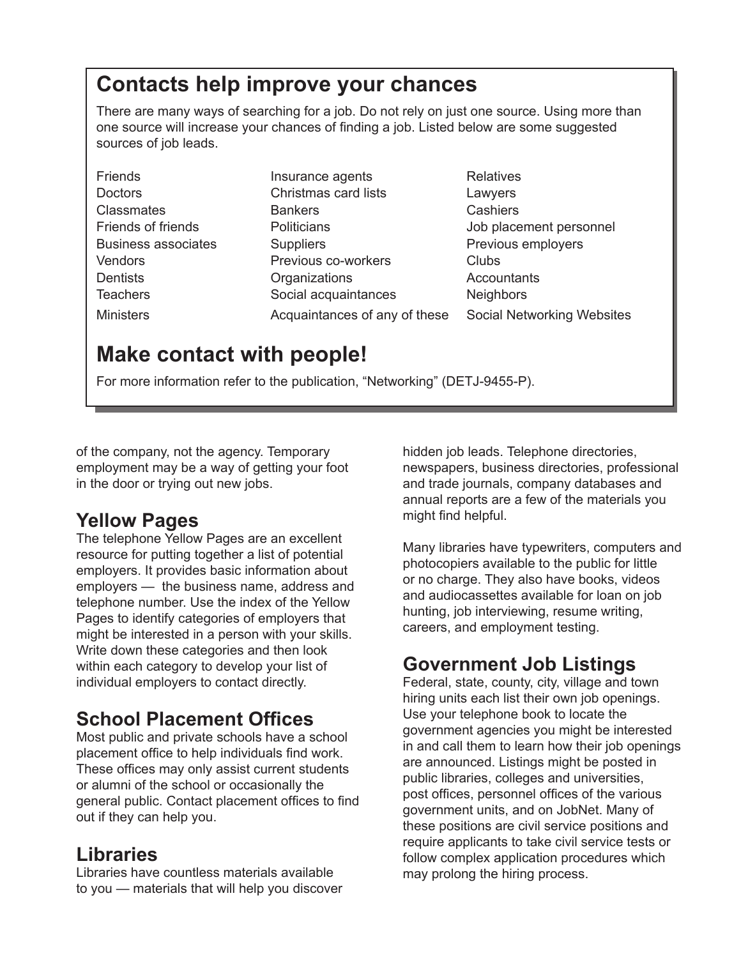# **Contacts help improve your chances**

There are many ways of searching for a job. Do not rely on just one source. Using more than one source will increase your chances of finding a job. Listed below are some suggested sources of job leads.

Friends **Insurance agents** Relatives

Doctors Christmas card lists Lawyers Classmates Bankers Cashiers Business associates The Suppliers Contract Revious employers Previous employers Vendors **Previous co-workers** Clubs Dentists **Dentists** Organizations **Accountants** Teachers Social acquaintances Neighbors Ministers Acquaintances of any of these Social Networking Websites

Friends of friends **Politicians** Politicians and Dub placement personnel

# **Make contact with people!**

For more information refer to the publication, "Networking" (DETJ-9455-P).

of the company, not the agency. Temporary employment may be a way of getting your foot in the door or trying out new jobs.

# **Yellow Pages**

The telephone Yellow Pages are an excellent resource for putting together a list of potential employers. It provides basic information about employers — the business name, address and telephone number. Use the index of the Yellow Pages to identify categories of employers that might be interested in a person with your skills. Write down these categories and then look within each category to develop your list of individual employers to contact directly.

# **School Placement Offices**

Most public and private schools have a school placement office to help individuals find work. These offices may only assist current students or alumni of the school or occasionally the general public. Contact placement offices to find out if they can help you.

# **Libraries**

Libraries have countless materials available to you — materials that will help you discover hidden job leads. Telephone directories, newspapers, business directories, professional and trade journals, company databases and annual reports are a few of the materials you might find helpful.

Many libraries have typewriters, computers and photocopiers available to the public for little or no charge. They also have books, videos and audiocassettes available for loan on job hunting, job interviewing, resume writing, careers, and employment testing.

# **Government Job Listings**

Federal, state, county, city, village and town hiring units each list their own job openings. Use your telephone book to locate the government agencies you might be interested in and call them to learn how their job openings are announced. Listings might be posted in public libraries, colleges and universities, post offices, personnel offices of the various government units, and on JobNet. Many of these positions are civil service positions and require applicants to take civil service tests or follow complex application procedures which may prolong the hiring process.